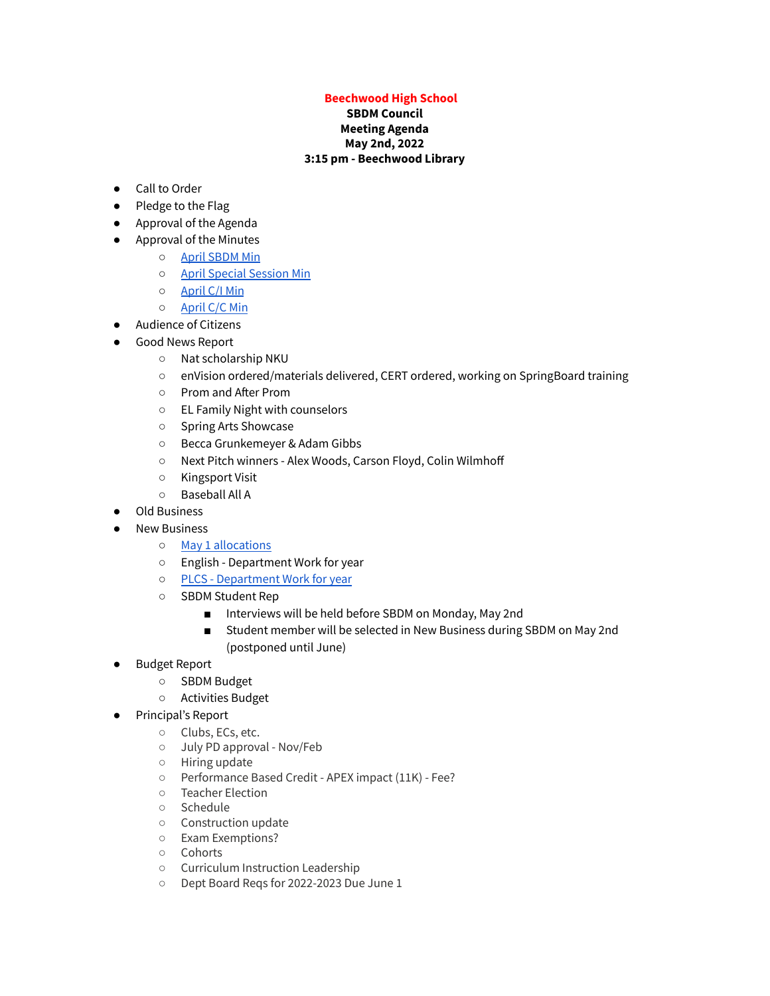## **Beechwood High School**

## **SBDM Council Meeting Agenda May 2nd, 2022 3:15 pm - Beechwood Library**

- Call to Order
- Pledge to the Flag
- Approval of the Agenda
- Approval of the Minutes
	- April [SBDM](https://docs.google.com/document/d/1yDMdPnAgBmWjbQ5jG0YxeKFwhSm-eEaUMvp06yIOP-w/edit?usp=sharing) Min
	- April Special [Session](https://docs.google.com/document/d/13ShvMrkHX4H1qK1tBAS5vtWw2bl16zB5BpbCNiSWFnw/edit?usp=sharing) Min
	- [April](https://docs.google.com/document/d/1_6gQLWzVDA0FvHZhYE1Apv-GAb0IgYLt8guxcUhEMM4/edit?usp=sharing) C/I Min
	- [April](https://docs.google.com/document/d/15R2MP8uB9nrFXXSg5AZIJNUoX68GiLQaNedgBfyJkuc/edit?usp=sharing) C/C Min
- Audience of Citizens
- Good News Report
	- Nat scholarship NKU
	- enVision ordered/materials delivered, CERT ordered, working on SpringBoard training
	- Prom and After Prom
	- EL Family Night with counselors
	- Spring Arts Showcase
	- Becca Grunkemeyer & Adam Gibbs
	- Next Pitch winners Alex Woods, Carson Floyd, Colin Wilmhoff
	- Kingsport Visit
	- Baseball All A
- **Old Business** 
	- **New Business** 
		- o May 1 [allocations](https://drive.google.com/file/d/1971K49Lc3pbRbdxcxYcfuoJLfBKAjZu0/view?usp=sharing)
		- English Department Work for year
		- PLCS [Department](https://docs.google.com/presentation/d/1S2yLr-Ta2WaSWg4Jdtygl0u8hw0F1JbPwo52CBQlX4U/edit#slide=id.p) Work for year
		- SBDM Student Rep
			- Interviews will be held before SBDM on Monday, May 2nd
			- Student member will be selected in New Business during SBDM on May 2nd (postponed until June)
- Budget Report
	- SBDM Budget
	- Activities Budget
- Principal's Report
	- Clubs, ECs, etc.
	- July PD approval Nov/Feb
	- Hiring update
	- Performance Based Credit APEX impact (11K) Fee?
	- Teacher Election
	- Schedule
	- Construction update
	- Exam Exemptions?
	- Cohorts
	- Curriculum Instruction Leadership
	- Dept Board Reqs for 2022-2023 Due June 1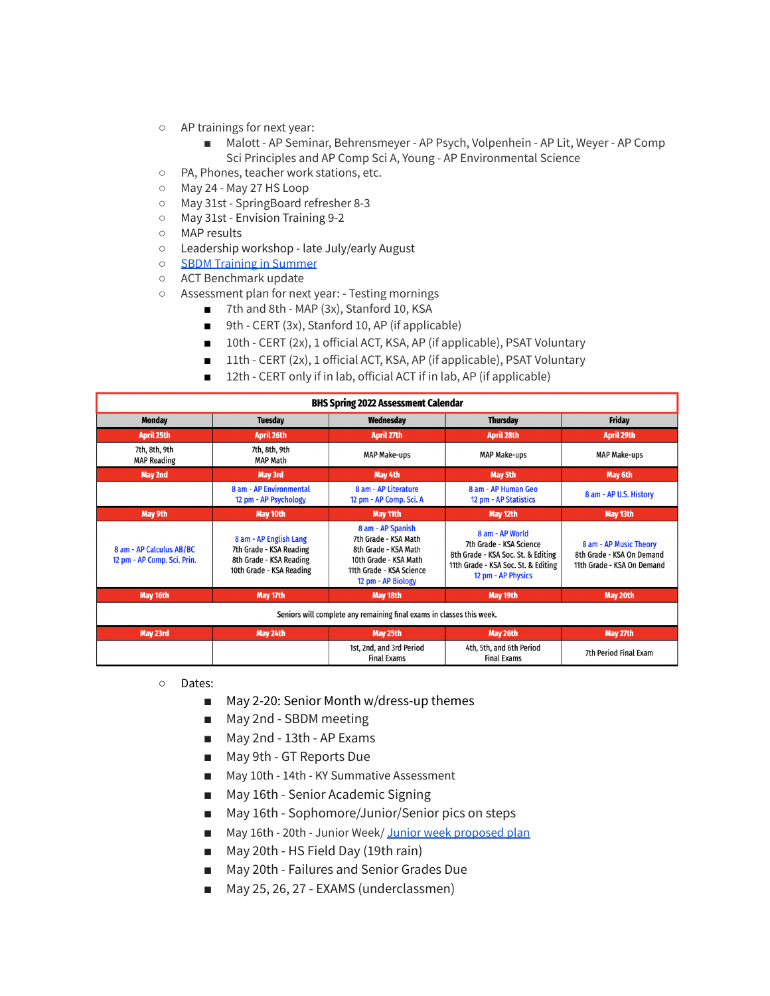- AP trainings for next year:
	- Malott AP Seminar, Behrensmeyer AP Psych, Volpenhein AP Lit, Weyer AP Comp Sci Principles and AP Comp Sci A, Young - AP Environmental Science
- PA, Phones, teacher work stations, etc.
- May 24 May 27 HS Loop
- May 31st SpringBoard refresher 8-3
- May 31st Envision Training 9-2
- MAP results
- Leadership workshop late July/early August
- SBDM Training in [Summer](https://kasc.memberclicks.net/sbdm-council-training#experienced)
- ACT Benchmark update
- Assessment plan for next year: Testing mornings
	- 7th and 8th MAP (3x), Stanford 10, KSA
	- 9th CERT (3x), Stanford 10, AP (if applicable)
	- 10th CERT (2x), 1 official ACT, KSA, AP (if applicable), PSAT Voluntary
	- 11th CERT (2x), 1 official ACT, KSA, AP (if applicable), PSAT Voluntary
	- 12th CERT only if in lab, official ACT if in lab, AP (if applicable)

| <b>BHS Spring 2022 Assessment Calendar</b>                            |                                                                                                          |                                                                                                                                              |                                                                                                                                               |                                                                                   |
|-----------------------------------------------------------------------|----------------------------------------------------------------------------------------------------------|----------------------------------------------------------------------------------------------------------------------------------------------|-----------------------------------------------------------------------------------------------------------------------------------------------|-----------------------------------------------------------------------------------|
| <b>Monday</b>                                                         | <b>Tuesday</b>                                                                                           | Wednesday                                                                                                                                    | <b>Thursday</b>                                                                                                                               | <b>Friday</b>                                                                     |
| April 25th                                                            | April 26th                                                                                               | April 27th                                                                                                                                   | <b>April 28th</b>                                                                                                                             | April 29th                                                                        |
| 7th, 8th, 9th<br><b>MAP Reading</b>                                   | 7th, 8th, 9th<br><b>MAP Math</b>                                                                         | <b>MAP Make-ups</b>                                                                                                                          | <b>MAP Make-ups</b>                                                                                                                           | <b>MAP Make-ups</b>                                                               |
| May 2nd                                                               | May 3rd                                                                                                  | May 4th                                                                                                                                      | <b>May 5th</b>                                                                                                                                | May 6th                                                                           |
|                                                                       | 8 am - AP Environmental<br>12 pm - AP Psychology                                                         | 8 am - AP Literature<br>12 pm - AP Comp. Sci. A                                                                                              | 8 am - AP Human Geo<br>12 pm - AP Statistics                                                                                                  | 8 am - AP U.S. History                                                            |
| May 9th                                                               | May 10th                                                                                                 | May 11th                                                                                                                                     | May 12th                                                                                                                                      | May 13th                                                                          |
| 8 am - AP Calculus AB/BC<br>12 pm - AP Comp. Sci. Prin.               | 8 am - AP English Lang<br>7th Grade - KSA Reading<br>8th Grade - KSA Reading<br>10th Grade - KSA Reading | 8 am - AP Spanish<br>7th Grade - KSA Math<br>8th Grade - KSA Math<br>10th Grade - KSA Math<br>11th Grade - KSA Science<br>12 pm - AP Biology | 8 am - AP World<br>7th Grade - KSA Science<br>8th Grade - KSA Soc. St. & Editing<br>11th Grade - KSA Soc. St. & Editing<br>12 pm - AP Physics | 8 am - AP Music Theory<br>8th Grade - KSA On Demand<br>11th Grade - KSA On Demand |
| May 16th                                                              | May 17th                                                                                                 | May 18th                                                                                                                                     | May 19th                                                                                                                                      | May 20th                                                                          |
| Seniors will complete any remaining final exams in classes this week. |                                                                                                          |                                                                                                                                              |                                                                                                                                               |                                                                                   |
| May 23rd                                                              | May 24th                                                                                                 | May 25th                                                                                                                                     | May 26th                                                                                                                                      | May 27th                                                                          |
|                                                                       |                                                                                                          | 1st, 2nd, and 3rd Period<br><b>Final Exams</b>                                                                                               | 4th, 5th, and 6th Period<br><b>Final Exams</b>                                                                                                | 7th Period Final Exam                                                             |

○ Dates:

- May 2-20: Senior Month w/dress-up themes
- May 2nd SBDM meeting
- May 2nd 13th AP Exams
- May 9th GT Reports Due
- May 10th 14th KY Summative Assessment
- May 16th Senior Academic Signing
- May 16th Sophomore/Junior/Senior pics on steps
- May 16th 20th Junior Week/ Junior week [proposed](https://docs.google.com/spreadsheets/d/18xo3FjFGu9Gi6K4zMvQ0MqLpmpvwaBC3AYoJG-yOYMI/edit?usp=sharing) plan
- May 20th HS Field Day (19th rain)
- May 20th Failures and Senior Grades Due
- May 25, 26, 27 EXAMS (underclassmen)